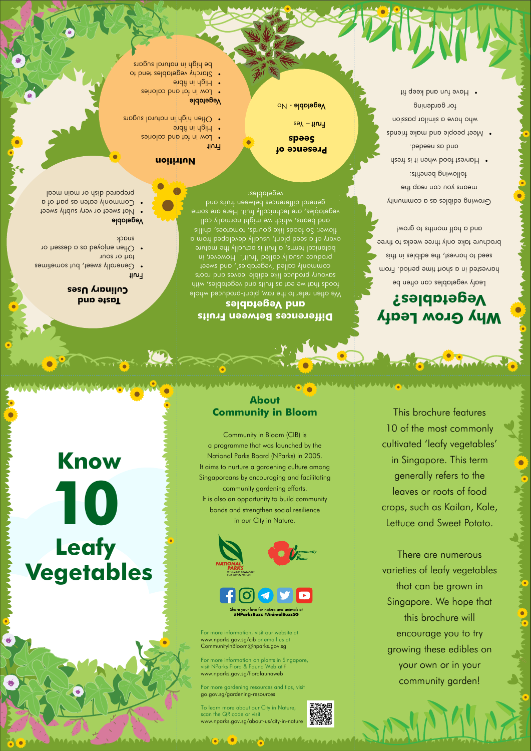# **Know Leafy 10**





## **Vegetables**

your love for nature and animals at #NParksBuzz #AnimalBuzzSG

This brochure features

MAARA MUULAMAA MUULOO MAARAMUU MAARAMUU ON MUULOO MUULOO MUULOO

10 of the most commonly cultivated 'leafy vegetables' in Singapore. This term generally refers to the leaves or roots of food crops, such as Kailan, Kale, Lettuce and Sweet Potato.

There are numerous

varieties of leafy vegetables that can be grown in Singapore. We hope that this brochure will encourage you to try growing these edibles on your own or in your community garden!

## **About Community in Bloom**

Community in Bloom (CIB) is a programme that was launched by the National Parks Board (NParks) in 2005. It aims to nurture a gardening culture among Singaporeans by encouraging and facilitating community gardening efforts. It is also an opportunity to build community bonds and strengthen social resilience in our City in Nature.

Growing edibles as a community means lon can reab the following benefits: desh it it nedw boot teampH •

and as pup

• Meet people and make friends who have a similar passion for gardening

• Have fun and keep fit

**ARANAGE** 

For more information, visit our website at www.nparks.gov.sg/cib or email us at CommunityInBloom@nparks.gov.sg

For more information on plants in Singapore, visit NParks Flora & Fauna Web at f www.nparks.gov.sg/florafaunaweb

For more gardening resources and tips, visit go.gov.sg/gardening-resources

We otten refer to the raw, plant-produced whole fitim , aldotagev bro atiut ap toe ew tont aboot produce like edible leaves and roots commonly called 'vegetables', and sweet produce usually called 'fruit'. However, in botanical terms, a fruit is actually the mature ovary of a seed plant, usually developed from a flower. So foods like gourds, tomatoes, chillis and beans, which we might normally call vegetables, are technically fruit. Here are some general differences between fruits and vegetables:

- Generally sweet, but sometimes tart or sour
- often enjoyed as a dessert or snack

To learn more about our City in Nature, scan the QR code or visit www.nparks.gov.sg/about-us/city-in-nature

AAN MELAMAAMAAN GALOMAAY MAAMAAAMAANAA



- **teaws yltdus ynest of the sweet**
- Commonly eaten as part of a prepared dish or main meal

## **Why Grow Leafy Vegetables?**

- Low in fat and calories  $\dot{\mathbf{p}}$ iqit ni d $\mathbf{p}$ iH  $\mathbf{\cdot}$
- ot brachy vegetables tend to be high in natural sugars

Leafy vegetables can often be harvested in a short time period. From sidt ni zaldiba adt , teavord ot base brochure take only three weeks to three and a half months to grow!

### **Differences Between Fruits and Vegetables**

## **Taste and Culinary Uses**

#### Fruit

#### Vegetable

#### **Nutrition**

#### Fruit

- · Low in fat and calories
- $\frac{1}{2}$ iqit ni d $\frac{1}{2}$ ibre  $\bullet$  Often high in natural sugars  $\bullet$

#### Vegetable

**Presence of Seeds**

 $\circ$ <sub>V</sub>egetable - N $\circ$ 

 $s$  $\theta$ <sup>Y</sup> – tiun<sub>1</sub>